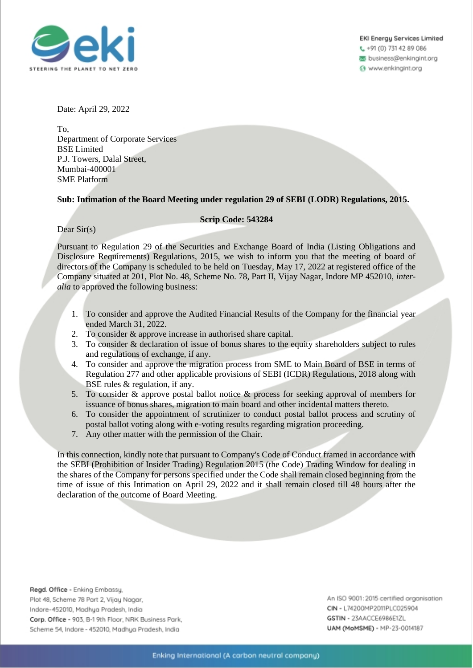

EKI Energu Services Limited t, +91 (0) 731 42 89 086

business@enkingint.org

6 www.enkingint.org

Date: April 29, 2022

To, Department of Corporate Services BSE Limited P.J. Towers, Dalal Street, Mumbai-400001 SME Platform

## **Sub: Intimation of the Board Meeting under regulation 29 of SEBI (LODR) Regulations, 2015.**

## **Scrip Code: 543284**

Dear Sir(s)

Pursuant to Regulation 29 of the Securities and Exchange Board of India (Listing Obligations and Disclosure Requirements) Regulations, 2015, we wish to inform you that the meeting of board of directors of the Company is scheduled to be held on Tuesday, May 17, 2022 at registered office of the Company situated at 201, Plot No. 48, Scheme No. 78, Part II, Vijay Nagar, Indore MP 452010, *interalia* to approved the following business:

- 1. To consider and approve the Audited Financial Results of the Company for the financial year ended March 31, 2022.
- 2. To consider & approve increase in authorised share capital.
- 3. To consider & declaration of issue of bonus shares to the equity shareholders subject to rules and regulations of exchange, if any.
- 4. To consider and approve the migration process from SME to Main Board of BSE in terms of Regulation 277 and other applicable provisions of SEBI (ICDR) Regulations, 2018 along with BSE rules & regulation, if any.
- 5. To consider & approve postal ballot notice & process for seeking approval of members for issuance of bonus shares, migration to main board and other incidental matters thereto.
- 6. To consider the appointment of scrutinizer to conduct postal ballot process and scrutiny of postal ballot voting along with e-voting results regarding migration proceeding.
- 7. Any other matter with the permission of the Chair.

In this connection, kindly note that pursuant to Company's Code of Conduct framed in accordance with the SEBI (Prohibition of Insider Trading) Regulation 2015 (the Code) Trading Window for dealing in the shares of the Company for persons specified under the Code shall remain closed beginning from the time of issue of this Intimation on April 29, 2022 and it shall remain closed till 48 hours after the declaration of the outcome of Board Meeting.

Regd. Office - Enking Embassy, Plot 48, Scheme 78 Part 2, Vijay Nagar, Indore-452010, Madhya Pradesh, India Corp. Office - 903, B-1 9th Floor, NRK Business Park, Scheme 54, Indore - 452010, Madhya Pradesh, India

An ISO 9001:2015 certified organisation CIN - L74200MP2011PLC025904 GSTIN - 23AACCE6986E1ZL UAM (MoMSME) - MP-23-0014187